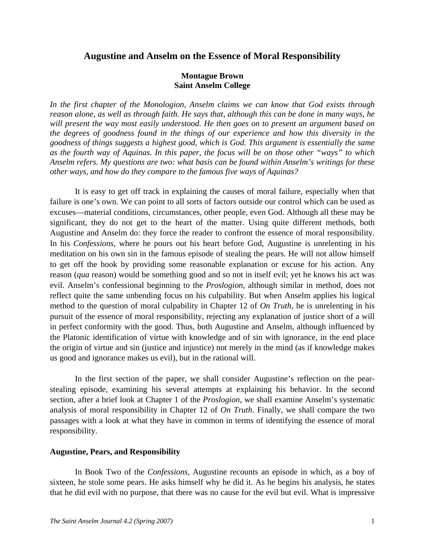# **Augustine and Anselm on the Essence of Moral Responsibility**

## **Montague Brown Saint Anselm College**

*In the first chapter of the Monologion, Anselm claims we can know that God exists through reason alone, as well as through faith. He says that, although this can be done in many ways, he will present the way most easily understood. He then goes on to present an argument based on the degrees of goodness found in the things of our experience and how this diversity in the goodness of things suggests a highest good, which is God. This argument is essentially the same as the fourth way of Aquinas. In this paper, the focus will be on those other "ways" to which Anselm refers. My questions are two: what basis can be found within Anselm's writings for these other ways, and how do they compare to the famous five ways of Aquinas?* 

It is easy to get off track in explaining the causes of moral failure, especially when that failure is one's own. We can point to all sorts of factors outside our control which can be used as excuses—material conditions, circumstances, other people, even God. Although all these may be significant, they do not get to the heart of the matter. Using quite different methods, both Augustine and Anselm do: they force the reader to confront the essence of moral responsibility. In his *Confessions*, where he pours out his heart before God, Augustine is unrelenting in his meditation on his own sin in the famous episode of stealing the pears. He will not allow himself to get off the hook by providing some reasonable explanation or excuse for his action. Any reason (*qua* reason) would be something good and so not in itself evil; yet he knows his act was evil. Anselm's confessional beginning to the *Proslogion*, although similar in method, does not reflect quite the same unbending focus on his culpability. But when Anselm applies his logical method to the question of moral culpability in Chapter 12 of *On Truth*, he is unrelenting in his pursuit of the essence of moral responsibility, rejecting any explanation of justice short of a will in perfect conformity with the good. Thus, both Augustine and Anselm, although influenced by the Platonic identification of virtue with knowledge and of sin with ignorance, in the end place the origin of virtue and sin (justice and injustice) not merely in the mind (as if knowledge makes us good and ignorance makes us evil), but in the rational will.

In the first section of the paper, we shall consider Augustine's reflection on the pearstealing episode, examining his several attempts at explaining his behavior. In the second section, after a brief look at Chapter 1 of the *Proslogion*, we shall examine Anselm's systematic analysis of moral responsibility in Chapter 12 of *On Truth*. Finally, we shall compare the two passages with a look at what they have in common in terms of identifying the essence of moral responsibility.

#### **Augustine, Pears, and Responsibility**

In Book Two of the *Confessions*, Augustine recounts an episode in which, as a boy of sixteen, he stole some pears. He asks himself why he did it. As he begins his analysis, he states that he did evil with no purpose, that there was no cause for the evil but evil. What is impressive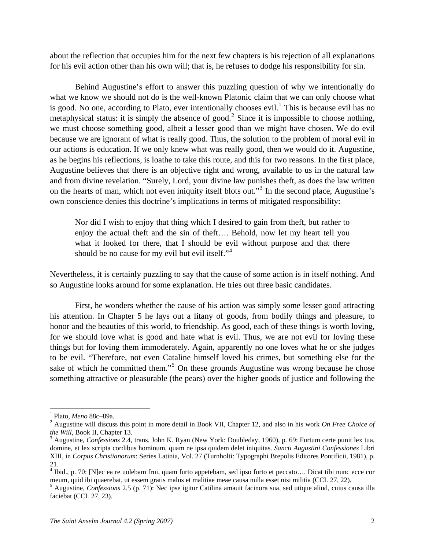about the reflection that occupies him for the next few chapters is his rejection of all explanations for his evil action other than his own will; that is, he refuses to dodge his responsibility for sin.

 Behind Augustine's effort to answer this puzzling question of why we intentionally do what we know we should not do is the well-known Platonic claim that we can only choose what is good. No one, according to Plato, ever intentionally chooses evil.<sup>[1](#page-1-0)</sup> This is because evil has no metaphysical status: it is simply the absence of good.<sup>[2](#page-1-1)</sup> Since it is impossible to choose nothing, we must choose something good, albeit a lesser good than we might have chosen. We do evil because we are ignorant of what is really good. Thus, the solution to the problem of moral evil in our actions is education. If we only knew what was really good, then we would do it. Augustine, as he begins his reflections, is loathe to take this route, and this for two reasons. In the first place, Augustine believes that there is an objective right and wrong, available to us in the natural law and from divine revelation. "Surely, Lord, your divine law punishes theft, as does the law written on the hearts of man, which not even iniquity itself blots out."<sup>[3](#page-1-2)</sup> In the second place, Augustine's own conscience denies this doctrine's implications in terms of mitigated responsibility:

Nor did I wish to enjoy that thing which I desired to gain from theft, but rather to enjoy the actual theft and the sin of theft…. Behold, now let my heart tell you what it looked for there, that I should be evil without purpose and that there should be no cause for my evil but evil itself." $4$ 

Nevertheless, it is certainly puzzling to say that the cause of some action is in itself nothing. And so Augustine looks around for some explanation. He tries out three basic candidates.

First, he wonders whether the cause of his action was simply some lesser good attracting his attention. In Chapter 5 he lays out a litany of goods, from bodily things and pleasure, to honor and the beauties of this world, to friendship. As good, each of these things is worth loving, for we should love what is good and hate what is evil. Thus, we are not evil for loving these things but for loving them immoderately. Again, apparently no one loves what he or she judges to be evil. "Therefore, not even Cataline himself loved his crimes, but something else for the sake of which he committed them."<sup>[5](#page-1-4)</sup> On these grounds Augustine was wrong because he chose something attractive or pleasurable (the pears) over the higher goods of justice and following the

<sup>&</sup>lt;sup>1</sup> Plato, *Meno* 88c–89a.

<span id="page-1-1"></span><span id="page-1-0"></span>Augustine will discuss this point in more detail in Book VII, Chapter 12, and also in his work *On Free Choice of the Will*, Book II, Chapter 13.

<span id="page-1-2"></span>Augustine, *Confessions* 2.4, trans. John K. Ryan (New York: Doubleday, 1960), p. 69: Furtum certe punit lex tua, domine, et lex scripta cordibus hominum, quam ne ipsa quidem delet iniquitas. *Sancti Augustini Confessiones* Libri XIII, in *Corpus Christianorum*: Series Latinia, Vol. 27 (Turnholti: Typographi Brepolis Editores Pontificii, 1981), p. 21.

<span id="page-1-3"></span><sup>&</sup>lt;sup>4</sup> Ibid., p. 70: [N]ec ea re uolebam frui, quam furto appetebam, sed ipso furto et peccato.... Dicat tibi nunc ecce cor meum, quid ibi quaerebat, ut essem gratis malus et malitiae meae causa nulla esset nisi militia (CCL 27, 22).

<span id="page-1-4"></span>Augustine, *Confessions* 2.5 (p. 71): Nec ipse igitur Catilina amauit facinora sua, sed utique aliud, cuius causa illa faciebat (CCL 27, 23).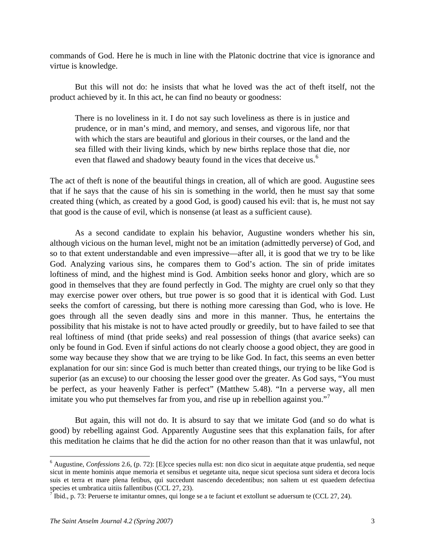commands of God. Here he is much in line with the Platonic doctrine that vice is ignorance and virtue is knowledge.

But this will not do: he insists that what he loved was the act of theft itself, not the product achieved by it. In this act, he can find no beauty or goodness:

There is no loveliness in it. I do not say such loveliness as there is in justice and prudence, or in man's mind, and memory, and senses, and vigorous life, nor that with which the stars are beautiful and glorious in their courses, or the land and the sea filled with their living kinds, which by new births replace those that die, nor even that flawed and shadowy beauty found in the vices that deceive us.<sup>[6](#page-2-0)</sup>

The act of theft is none of the beautiful things in creation, all of which are good. Augustine sees that if he says that the cause of his sin is something in the world, then he must say that some created thing (which, as created by a good God, is good) caused his evil: that is, he must not say that good is the cause of evil, which is nonsense (at least as a sufficient cause).

As a second candidate to explain his behavior, Augustine wonders whether his sin, although vicious on the human level, might not be an imitation (admittedly perverse) of God, and so to that extent understandable and even impressive—after all, it is good that we try to be like God. Analyzing various sins, he compares them to God's action. The sin of pride imitates loftiness of mind, and the highest mind is God. Ambition seeks honor and glory, which are so good in themselves that they are found perfectly in God. The mighty are cruel only so that they may exercise power over others, but true power is so good that it is identical with God. Lust seeks the comfort of caressing, but there is nothing more caressing than God, who is love. He goes through all the seven deadly sins and more in this manner. Thus, he entertains the possibility that his mistake is not to have acted proudly or greedily, but to have failed to see that real loftiness of mind (that pride seeks) and real possession of things (that avarice seeks) can only be found in God. Even if sinful actions do not clearly choose a good object, they are good in some way because they show that we are trying to be like God. In fact, this seems an even better explanation for our sin: since God is much better than created things, our trying to be like God is superior (as an excuse) to our choosing the lesser good over the greater. As God says, "You must be perfect, as your heavenly Father is perfect" (Matthew 5.48). "In a perverse way, all men imitate you who put themselves far from you, and rise up in rebellion against you."

But again, this will not do. It is absurd to say that we imitate God (and so do what is good) by rebelling against God. Apparently Augustine sees that this explanation fails, for after this meditation he claims that he did the action for no other reason than that it was unlawful, not

<span id="page-2-0"></span><sup>6</sup> Augustine, *Confessions* 2.6, (p. 72): [E]cce species nulla est: non dico sicut in aequitate atque prudentia, sed neque sicut in mente hominis atque memoria et sensibus et uegetante uita, neque sicut speciosa sunt sidera et decora locis suis et terra et mare plena fetibus, qui succedunt nascendo decedentibus; non saltem ut est quaedem defectiua species et umbratica uitiis fallentibus (CCL 27, 23).

<span id="page-2-1"></span><sup>&</sup>lt;sup>7</sup> Ibid., p. 73: Peruerse te imitantur omnes, qui longe se a te faciunt et extollunt se aduersum te (CCL 27, 24).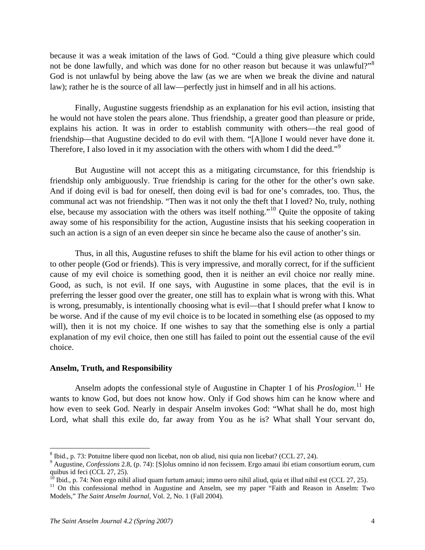because it was a weak imitation of the laws of God. "Could a thing give pleasure which could not be done lawfully, and which was done for no other reason but because it was unlawful?"<sup>[8](#page-3-0)</sup> God is not unlawful by being above the law (as we are when we break the divine and natural law); rather he is the source of all law—perfectly just in himself and in all his actions.

Finally, Augustine suggests friendship as an explanation for his evil action, insisting that he would not have stolen the pears alone. Thus friendship, a greater good than pleasure or pride, explains his action. It was in order to establish community with others—the real good of friendship—that Augustine decided to do evil with them. "[A]lone I would never have done it. Therefore, I also loved in it my association with the others with whom I did the deed."<sup>[9](#page-3-1)</sup>

But Augustine will not accept this as a mitigating circumstance, for this friendship is friendship only ambiguously. True friendship is caring for the other for the other's own sake. And if doing evil is bad for oneself, then doing evil is bad for one's comrades, too. Thus, the communal act was not friendship. "Then was it not only the theft that I loved? No, truly, nothing else, because my association with the others was itself nothing."[10](#page-3-2) Quite the opposite of taking away some of his responsibility for the action, Augustine insists that his seeking cooperation in such an action is a sign of an even deeper sin since he became also the cause of another's sin.

Thus, in all this, Augustine refuses to shift the blame for his evil action to other things or to other people (God or friends). This is very impressive, and morally correct, for if the sufficient cause of my evil choice is something good, then it is neither an evil choice nor really mine. Good, as such, is not evil. If one says, with Augustine in some places, that the evil is in preferring the lesser good over the greater, one still has to explain what is wrong with this. What is wrong, presumably, is intentionally choosing what is evil—that I should prefer what I know to be worse. And if the cause of my evil choice is to be located in something else (as opposed to my will), then it is not my choice. If one wishes to say that the something else is only a partial explanation of my evil choice, then one still has failed to point out the essential cause of the evil choice.

#### **Anselm, Truth, and Responsibility**

Anselm adopts the confessional style of Augustine in Chapter 1 of his *Proslogion*.<sup>[11](#page-3-3)</sup> He wants to know God, but does not know how. Only if God shows him can he know where and how even to seek God. Nearly in despair Anselm invokes God: "What shall he do, most high Lord, what shall this exile do, far away from You as he is? What shall Your servant do,

1

<span id="page-3-0"></span> $8$  Ibid., p. 73: Potuitne libere quod non licebat, non ob aliud, nisi quia non licebat? (CCL 27, 24).

<span id="page-3-1"></span><sup>9</sup> Augustine, *Confessions* 2.8, (p. 74): [S]olus omnino id non fecissem. Ergo amaui ibi etiam consortium eorum, cum quibus id feci (CCL 27, 25).

<sup>&</sup>lt;sup>10</sup> Ibid., p. 74: Non ergo nihil aliud quam furtum amaui; immo uero nihil aliud, quia et illud nihil est (CCL 27, 25).

<span id="page-3-3"></span><span id="page-3-2"></span><sup>&</sup>lt;sup>11</sup> On this confessional method in Augustine and Anselm, see my paper "Faith and Reason in Anselm: Two Models," *The Saint Anselm Journal*, [Vol. 2, No. 1 \(Fall 2004\).](http://www.anselm.edu/library/SAJ/Vol2No1.html)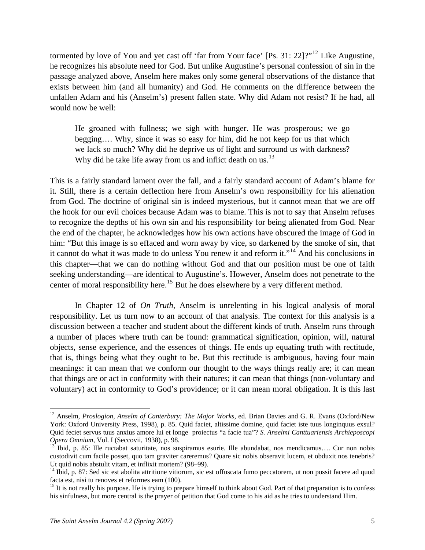tormented by love of You and yet cast off 'far from Your face'  $[Ps. 31: 22]$ ?"<sup>[12](#page-4-0)</sup> Like Augustine, he recognizes his absolute need for God. But unlike Augustine's personal confession of sin in the passage analyzed above, Anselm here makes only some general observations of the distance that exists between him (and all humanity) and God. He comments on the difference between the unfallen Adam and his (Anselm's) present fallen state. Why did Adam not resist? If he had, all would now be well:

He groaned with fullness; we sigh with hunger. He was prosperous; we go begging…. Why, since it was so easy for him, did he not keep for us that which we lack so much? Why did he deprive us of light and surround us with darkness? Why did he take life away from us and inflict death on us. $^{13}$  $^{13}$  $^{13}$ 

This is a fairly standard lament over the fall, and a fairly standard account of Adam's blame for it. Still, there is a certain deflection here from Anselm's own responsibility for his alienation from God. The doctrine of original sin is indeed mysterious, but it cannot mean that we are off the hook for our evil choices because Adam was to blame. This is not to say that Anselm refuses to recognize the depths of his own sin and his responsibility for being alienated from God. Near the end of the chapter, he acknowledges how his own actions have obscured the image of God in him: "But this image is so effaced and worn away by vice, so darkened by the smoke of sin, that it cannot do what it was made to do unless You renew it and reform it."[14](#page-4-2) And his conclusions in this chapter—that we can do nothing without God and that our position must be one of faith seeking understanding—are identical to Augustine's. However, Anselm does not penetrate to the center of moral responsibility here.<sup>[15](#page-4-3)</sup> But he does elsewhere by a very different method.

In Chapter 12 of *On Truth*, Anselm is unrelenting in his logical analysis of moral responsibility. Let us turn now to an account of that analysis. The context for this analysis is a discussion between a teacher and student about the different kinds of truth. Anselm runs through a number of places where truth can be found: grammatical signification, opinion, will, natural objects, sense experience, and the essences of things. He ends up equating truth with rectitude, that is, things being what they ought to be. But this rectitude is ambiguous, having four main meanings: it can mean that we conform our thought to the ways things really are; it can mean that things are or act in conformity with their natures; it can mean that things (non-voluntary and voluntary) act in conformity to God's providence; or it can mean moral obligation. It is this last

<span id="page-4-0"></span><sup>12</sup> Anselm, *Proslogion*, *Anselm of Canterbury: The Major Works*, ed. Brian Davies and G. R. Evans (Oxford/New York: Oxford University Press, 1998), p. 85. Quid faciet, altissime domine, quid faciet iste tuus longinquus exsul? Quid feciet servus tuus anxius amore lui et longe proiectus "a facie tua"? *S. Anselmi Canttuariensis Archieposcopi Opera Omnium*, Vol. I (Seccovii, 1938), p. 98.<br><sup>13</sup> Ibid, p. 85: Ille ructabat saturitate, nos suspiramus esurie. Ille abundabat, nos mendicamus…. Cur non nobis

<span id="page-4-1"></span>custodivit cum facile posset, quo tam graviter careremus? Quare sic nobis obseravit lucem, et obduxit nos tenebris? Ut quid nobis abstulit vitam, et inflixit mortem? (98–99).

<span id="page-4-2"></span><sup>&</sup>lt;sup>14</sup> Ibid, p. 87: Sed sic est abolita attritione vitiorum, sic est offuscata fumo peccatorem, ut non possit facere ad quod facta est, nisi tu renoves et reformes eam (100).

<span id="page-4-3"></span><sup>&</sup>lt;sup>15</sup> It is not really his purpose. He is trying to prepare himself to think about God. Part of that preparation is to confess his sinfulness, but more central is the prayer of petition that God come to his aid as he tries to understand Him.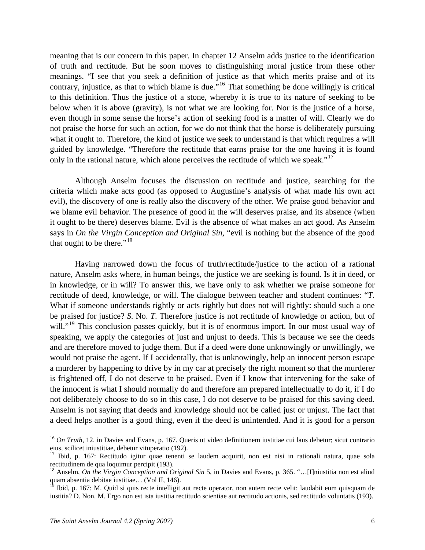meaning that is our concern in this paper. In chapter 12 Anselm adds justice to the identification of truth and rectitude. But he soon moves to distinguishing moral justice from these other meanings. "I see that you seek a definition of justice as that which merits praise and of its contrary, injustice, as that to which blame is due."[16](#page-5-0) That something be done willingly is critical to this definition. Thus the justice of a stone, whereby it is true to its nature of seeking to be below when it is above (gravity), is not what we are looking for. Nor is the justice of a horse, even though in some sense the horse's action of seeking food is a matter of will. Clearly we do not praise the horse for such an action, for we do not think that the horse is deliberately pursuing what it ought to. Therefore, the kind of justice we seek to understand is that which requires a will guided by knowledge. "Therefore the rectitude that earns praise for the one having it is found only in the rational nature, which alone perceives the rectitude of which we speak."<sup>[17](#page-5-1)</sup>

Although Anselm focuses the discussion on rectitude and justice, searching for the criteria which make acts good (as opposed to Augustine's analysis of what made his own act evil), the discovery of one is really also the discovery of the other. We praise good behavior and we blame evil behavior. The presence of good in the will deserves praise, and its absence (when it ought to be there) deserves blame. Evil is the absence of what makes an act good. As Anselm says in *On the Virgin Conception and Original Sin*, "evil is nothing but the absence of the good that ought to be there."<sup>[18](#page-5-2)</sup>

Having narrowed down the focus of truth/rectitude/justice to the action of a rational nature, Anselm asks where, in human beings, the justice we are seeking is found. Is it in deed, or in knowledge, or in will? To answer this, we have only to ask whether we praise someone for rectitude of deed, knowledge, or will. The dialogue between teacher and student continues: "*T*. What if someone understands rightly or acts rightly but does not will rightly: should such a one be praised for justice? *S*. No. *T*. Therefore justice is not rectitude of knowledge or action, but of will."<sup>[19](#page-5-3)</sup> This conclusion passes quickly, but it is of enormous import. In our most usual way of speaking, we apply the categories of just and unjust to deeds. This is because we see the deeds and are therefore moved to judge them. But if a deed were done unknowingly or unwillingly, we would not praise the agent. If I accidentally, that is unknowingly, help an innocent person escape a murderer by happening to drive by in my car at precisely the right moment so that the murderer is frightened off, I do not deserve to be praised. Even if I know that intervening for the sake of the innocent is what I should normally do and therefore am prepared intellectually to do it, if I do not deliberately choose to do so in this case, I do not deserve to be praised for this saving deed. Anselm is not saying that deeds and knowledge should not be called just or unjust. The fact that a deed helps another is a good thing, even if the deed is unintended. And it is good for a person

<span id="page-5-0"></span><sup>&</sup>lt;sup>16</sup> *On Truth*, 12, in Davies and Evans, p. 167. Queris ut video definitionem iustitiae cui laus debetur; sicut contrario eius, scilicet iniustitiae, debetur vituperatio (192).

<span id="page-5-1"></span><sup>&</sup>lt;sup>17</sup> Ibid, p. 167: Rectitudo igitur quae tenenti se laudem acquirit, non est nisi in rationali natura, quae sola rectitudinem de qua loquimur percipit (193).

<span id="page-5-2"></span><sup>18</sup> Anselm, *On the Virgin Conception and Original Sin* 5, in Davies and Evans, p. 365. "…[I]niustitia non est aliud quam absentia debitae iustitiae… (Vol II, 146).

<span id="page-5-3"></span><sup>&</sup>lt;sup>19</sup> Ibid, p. 167: M. Quid si quis recte intelligit aut recte operator, non autem recte velit: laudabit eum quisquam de iustitia? D. Non. M. Ergo non est ista iustitia rectitudo scientiae aut rectitudo actionis, sed rectitudo voluntatis (193).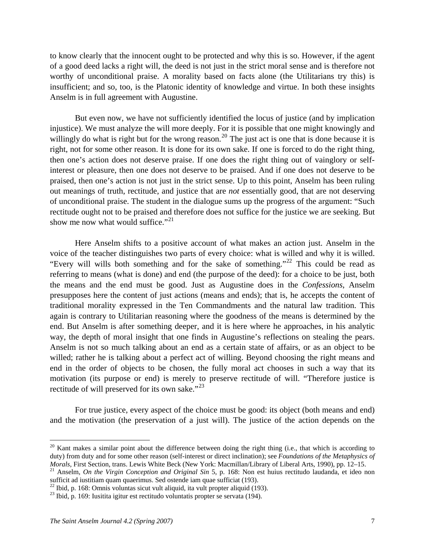to know clearly that the innocent ought to be protected and why this is so. However, if the agent of a good deed lacks a right will, the deed is not just in the strict moral sense and is therefore not worthy of unconditional praise. A morality based on facts alone (the Utilitarians try this) is insufficient; and so, too, is the Platonic identity of knowledge and virtue. In both these insights Anselm is in full agreement with Augustine.

But even now, we have not sufficiently identified the locus of justice (and by implication injustice). We must analyze the will more deeply. For it is possible that one might knowingly and willingly do what is right but for the wrong reason.<sup>[20](#page-6-0)</sup> The just act is one that is done because it is right, not for some other reason. It is done for its own sake. If one is forced to do the right thing, then one's action does not deserve praise. If one does the right thing out of vainglory or selfinterest or pleasure, then one does not deserve to be praised. And if one does not deserve to be praised, then one's action is not just in the strict sense. Up to this point, Anselm has been ruling out meanings of truth, rectitude, and justice that are *not* essentially good, that are not deserving of unconditional praise. The student in the dialogue sums up the progress of the argument: "Such rectitude ought not to be praised and therefore does not suffice for the justice we are seeking. But show me now what would suffice." $21$ 

Here Anselm shifts to a positive account of what makes an action just. Anselm in the voice of the teacher distinguishes two parts of every choice: what is willed and why it is willed. "Every will wills both something and for the sake of something."<sup>[22](#page-6-2)</sup> This could be read as referring to means (what is done) and end (the purpose of the deed): for a choice to be just, both the means and the end must be good. Just as Augustine does in the *Confessions*, Anselm presupposes here the content of just actions (means and ends); that is, he accepts the content of traditional morality expressed in the Ten Commandments and the natural law tradition. This again is contrary to Utilitarian reasoning where the goodness of the means is determined by the end. But Anselm is after something deeper, and it is here where he approaches, in his analytic way, the depth of moral insight that one finds in Augustine's reflections on stealing the pears. Anselm is not so much talking about an end as a certain state of affairs, or as an object to be willed; rather he is talking about a perfect act of willing. Beyond choosing the right means and end in the order of objects to be chosen, the fully moral act chooses in such a way that its motivation (its purpose or end) is merely to preserve rectitude of will. "Therefore justice is rectitude of will preserved for its own sake."<sup>[23](#page-6-3)</sup>

For true justice, every aspect of the choice must be good: its object (both means and end) and the motivation (the preservation of a just will). The justice of the action depends on the

<span id="page-6-0"></span> $20$  Kant makes a similar point about the difference between doing the right thing (i.e., that which is according to duty) from duty and for some other reason (self-interest or direct inclination); see *Foundations of the Metaphysics of*  Morals, First Section, trans. Lewis White Beck (New York: Macmillan/Library of Liberal Arts, 1990), pp. 12–15.<br><sup>21</sup> Anselm, *On the Virgin Conception and Original Sin* 5, p. 168: Non est huius rectitudo laudanda, et ideo n

<span id="page-6-1"></span>sufficit ad iustitiam quam quaerimus. Sed ostende iam quae sufficiat (193).

<span id="page-6-2"></span> $^{22}$  Ibid, p. 168: Omnis voluntas sicut vult aliquid, ita vult propter aliquid (193).

<span id="page-6-3"></span> $^{23}$  Ibid, p. 169: Iusitita igitur est rectitudo voluntatis propter se servata (194).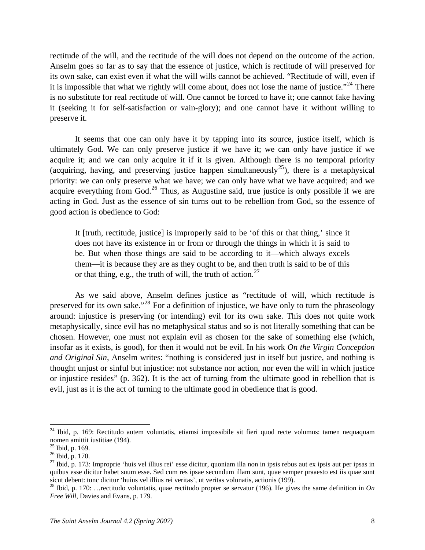rectitude of the will, and the rectitude of the will does not depend on the outcome of the action. Anselm goes so far as to say that the essence of justice, which is rectitude of will preserved for its own sake, can exist even if what the will wills cannot be achieved. "Rectitude of will, even if it is impossible that what we rightly will come about, does not lose the name of justice."<sup>[24](#page-7-0)</sup> There is no substitute for real rectitude of will. One cannot be forced to have it; one cannot fake having it (seeking it for self-satisfaction or vain-glory); and one cannot have it without willing to preserve it.

It seems that one can only have it by tapping into its source, justice itself, which is ultimately God. We can only preserve justice if we have it; we can only have justice if we acquire it; and we can only acquire it if it is given. Although there is no temporal priority (acquiring, having, and preserving justice happen simultaneously<sup>[25](#page-7-1)</sup>), there is a metaphysical priority: we can only preserve what we have; we can only have what we have acquired; and we acquire everything from God.<sup>[26](#page-7-2)</sup> Thus, as Augustine said, true justice is only possible if we are acting in God. Just as the essence of sin turns out to be rebellion from God, so the essence of good action is obedience to God:

It [truth, rectitude, justice] is improperly said to be 'of this or that thing,' since it does not have its existence in or from or through the things in which it is said to be. But when those things are said to be according to it—which always excels them—it is because they are as they ought to be, and then truth is said to be of this or that thing, e.g., the truth of will, the truth of action. $27$ 

As we said above, Anselm defines justice as "rectitude of will, which rectitude is preserved for its own sake."<sup>[28](#page-7-4)</sup> For a definition of injustice, we have only to turn the phraseology around: injustice is preserving (or intending) evil for its own sake. This does not quite work metaphysically, since evil has no metaphysical status and so is not literally something that can be chosen. However, one must not explain evil as chosen for the sake of something else (which, insofar as it exists, is good), for then it would not be evil. In his work *On the Virgin Conception and Original Sin*, Anselm writes: "nothing is considered just in itself but justice, and nothing is thought unjust or sinful but injustice: not substance nor action, nor even the will in which justice or injustice resides" (p. 362). It is the act of turning from the ultimate good in rebellion that is evil, just as it is the act of turning to the ultimate good in obedience that is good.

<span id="page-7-0"></span><sup>&</sup>lt;sup>24</sup> Ibid, p. 169: Rectitudo autem voluntatis, etiamsi impossibile sit fieri quod recte volumus: tamen nequaquam nomen amittit iustitiae (194).

<span id="page-7-1"></span> $25$  Ibid, p. 169.

<span id="page-7-2"></span><sup>26</sup> Ibid, p. 170.

<span id="page-7-3"></span> $27$  Ibid, p. 173: Improprie 'huis vel illius rei' esse dicitur, quoniam illa non in ipsis rebus aut ex ipsis aut per ipsas in quibus esse dicitur habet suum esse. Sed cum res ipsae secundum illam sunt, quae semper praaesto est iis quae sunt sicut debent: tunc dicitur 'huius vel illius rei veritas', ut veritas volunatis, actionis (199).

<span id="page-7-4"></span><sup>&</sup>lt;sup>28</sup> Ibid, p. 170: ... rectitudo voluntatis, quae rectitudo propter se servatur (196). He gives the same definition in *On Free Will*, Davies and Evans, p. 179.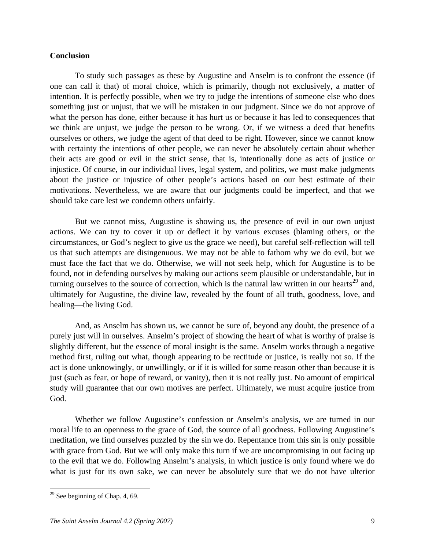### **Conclusion**

To study such passages as these by Augustine and Anselm is to confront the essence (if one can call it that) of moral choice, which is primarily, though not exclusively, a matter of intention. It is perfectly possible, when we try to judge the intentions of someone else who does something just or unjust, that we will be mistaken in our judgment. Since we do not approve of what the person has done, either because it has hurt us or because it has led to consequences that we think are unjust, we judge the person to be wrong. Or, if we witness a deed that benefits ourselves or others, we judge the agent of that deed to be right. However, since we cannot know with certainty the intentions of other people, we can never be absolutely certain about whether their acts are good or evil in the strict sense, that is, intentionally done as acts of justice or injustice. Of course, in our individual lives, legal system, and politics, we must make judgments about the justice or injustice of other people's actions based on our best estimate of their motivations. Nevertheless, we are aware that our judgments could be imperfect, and that we should take care lest we condemn others unfairly.

But we cannot miss, Augustine is showing us, the presence of evil in our own unjust actions. We can try to cover it up or deflect it by various excuses (blaming others, or the circumstances, or God's neglect to give us the grace we need), but careful self-reflection will tell us that such attempts are disingenuous. We may not be able to fathom why we do evil, but we must face the fact that we do. Otherwise, we will not seek help, which for Augustine is to be found, not in defending ourselves by making our actions seem plausible or understandable, but in turning ourselves to the source of correction, which is the natural law written in our hearts<sup>[29](#page-8-0)</sup> and, ultimately for Augustine, the divine law, revealed by the fount of all truth, goodness, love, and healing—the living God.

And, as Anselm has shown us, we cannot be sure of, beyond any doubt, the presence of a purely just will in ourselves. Anselm's project of showing the heart of what is worthy of praise is slightly different, but the essence of moral insight is the same. Anselm works through a negative method first, ruling out what, though appearing to be rectitude or justice, is really not so. If the act is done unknowingly, or unwillingly, or if it is willed for some reason other than because it is just (such as fear, or hope of reward, or vanity), then it is not really just. No amount of empirical study will guarantee that our own motives are perfect. Ultimately, we must acquire justice from God.

Whether we follow Augustine's confession or Anselm's analysis, we are turned in our moral life to an openness to the grace of God, the source of all goodness. Following Augustine's meditation, we find ourselves puzzled by the sin we do. Repentance from this sin is only possible with grace from God. But we will only make this turn if we are uncompromising in out facing up to the evil that we do. Following Anselm's analysis, in which justice is only found where we do what is just for its own sake, we can never be absolutely sure that we do not have ulterior

<span id="page-8-0"></span> $29$  See beginning of Chap. 4, 69.